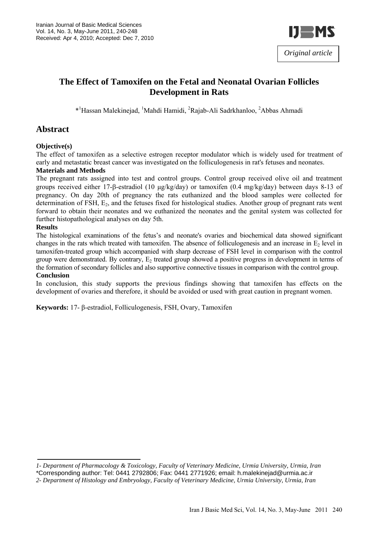

# **The Effect of Tamoxifen on the Fetal and Neonatal Ovarian Follicles Development in Rats**

\*<sup>1</sup>Hassan Malekinejad, <sup>1</sup>Mahdi Hamidi, <sup>2</sup>Rajab-Ali Sadrkhanloo, <sup>2</sup>Abbas Ahmadi

## **Abstract**

#### **Objective(s)**

The effect of tamoxifen as a selective estrogen receptor modulator which is widely used for treatment of early and metastatic breast cancer was investigated on the folliculogenesis in rat's fetuses and neonates.

#### **Materials and Methods**

The pregnant rats assigned into test and control groups. Control group received olive oil and treatment groups received either 17-β-estradiol (10 µg/kg/day) or tamoxifen (0.4 mg/kg/day) between days 8-13 of pregnancy. On day 20th of pregnancy the rats euthanized and the blood samples were collected for determination of FSH,  $E_2$ , and the fetuses fixed for histological studies. Another group of pregnant rats went forward to obtain their neonates and we euthanized the neonates and the genital system was collected for further histopathological analyses on day 5th.

#### **Results**

The histological examinations of the fetus's and neonate's ovaries and biochemical data showed significant changes in the rats which treated with tamoxifen. The absence of folliculogenesis and an increase in  $E<sub>2</sub>$  level in tamoxifen-treated group which accompanied with sharp decrease of FSH level in comparison with the control group were demonstrated. By contrary,  $E_2$  treated group showed a positive progress in development in terms of the formation of secondary follicles and also supportive connective tissues in comparison with the control group.

#### **Conclusion**

In conclusion, this study supports the previous findings showing that tamoxifen has effects on the development of ovaries and therefore, it should be avoided or used with great caution in pregnant women.

**Keywords:** 17- β-estradiol, Folliculogenesis, FSH, Ovary, Tamoxifen

*<sup>1-</sup> Department of Pharmacology & Toxicology, Faculty of Veterinary Medicine, Urmia University, Urmia, Iran*  \*Corresponding author: Tel: 0441 2792806; Fax: 0441 2771926; email: h.malekinejad@urmia.ac.ir

*<sup>2-</sup> Department of Histology and Embryology, Faculty of Veterinary Medicine, Urmia University, Urmia, Iran*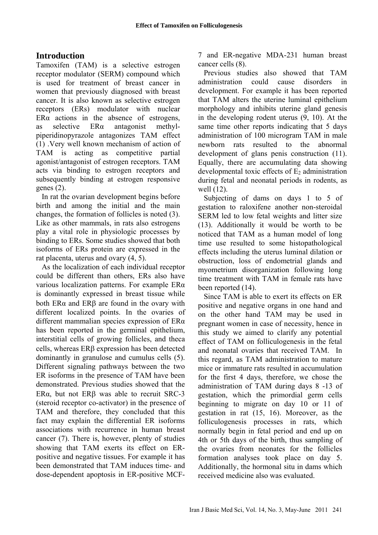# **Introduction**

Tamoxifen (TAM) is a selective estrogen receptor modulator (SERM) compound which is used for treatment of breast cancer in women that previously diagnosed with breast cancer. It is also known as selective estrogen receptors (ERs) modulator with nuclear  $ER\alpha$  actions in the absence of estrogens, as selective ERα antagonist methylpiperidinopyrazole antagonizes TAM effect (1) .Very well known mechanism of action of TAM is acting as competitive partial agonist/antagonist of estrogen receptors. TAM acts via binding to estrogen receptors and subsequently binding at estrogen responsive genes (2).

In rat the ovarian development begins before birth and among the initial and the main changes, the formation of follicles is noted (3). Like as other mammals, in rats also estrogens play a vital role in physiologic processes by binding to ERs. Some studies showed that both isoforms of ERs protein are expressed in the rat placenta, uterus and ovary (4, 5).

As the localization of each individual receptor could be different than others, ERs also have various localization patterns. For example ERα is dominantly expressed in breast tissue while both ERα and ERβ are found in the ovary with different localized points. In the ovaries of different mammalian species expression of ERα has been reported in the germinal epithelium, interstitial cells of growing follicles, and theca cells, whereas ERβ expression has been detected dominantly in granulose and cumulus cells (5). Different signaling pathways between the two ER isoforms in the presence of TAM have been demonstrated. Previous studies showed that the ERα, but not ERβ was able to recruit SRC-3 (steroid receptor co-activator) in the presence of TAM and therefore, they concluded that this fact may explain the differential ER isoforms associations with recurrence in human breast cancer (7). There is, however, plenty of studies showing that TAM exerts its effect on ERpositive and negative tissues. For example it has been demonstrated that TAM induces time- and dose-dependent apoptosis in ER-positive MCF- 7 and ER-negative MDA-231 human breast cancer cells (8).

Previous studies also showed that TAM administration could cause disorders in development. For example it has been reported that TAM alters the uterine luminal epithelium morphology and inhibits uterine gland genesis in the developing rodent uterus (9, 10). At the same time other reports indicating that 5 days administration of 100 microgram TAM in male newborn rats resulted to the abnormal development of glans penis construction (11). Equally, there are accumulating data showing developmental toxic effects of  $E<sub>2</sub>$  administration during fetal and neonatal periods in rodents, as well (12).

Subjecting of dams on days 1 to 5 of gestation to raloxifene another non-steroidal SERM led to low fetal weights and litter size (13). Additionally it would be worth to be noticed that TAM as a human model of long time use resulted to some histopathological effects including the uterus luminal dilation or obstruction, loss of endometrial glands and myometrium disorganization following long time treatment with TAM in female rats have been reported (14).

Since TAM is able to exert its effects on ER positive and negative organs in one hand and on the other hand TAM may be used in pregnant women in case of necessity, hence in this study we aimed to clarify any potential effect of TAM on folliculogenesis in the fetal and neonatal ovaries that received TAM. In this regard, as TAM administration to mature mice or immature rats resulted in accumulation for the first 4 days, therefore, we chose the administration of TAM during days 8 -13 of gestation, which the primordial germ cells beginning to migrate on day 10 or 11 of gestation in rat (15, 16). Moreover, as the folliculogenesis processes in rats, which normally begin in fetal period and end up on 4th or 5th days of the birth, thus sampling of the ovaries from neonates for the follicles formation analyses took place on day 5. Additionally, the hormonal situ in dams which received medicine also was evaluated.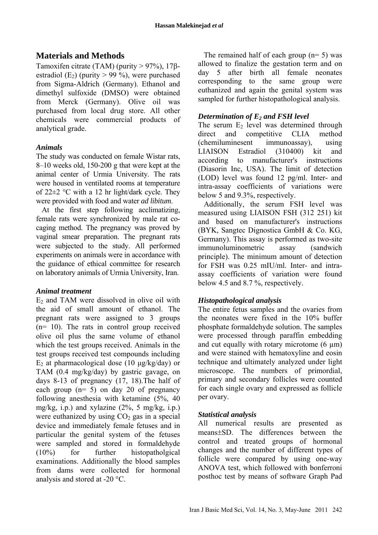# **Materials and Methods**

Tamoxifen citrate (TAM) (purity > 97%), 17βestradiol (E<sub>2</sub>) (purity  $> 99 \%$ ), were purchased from Sigma-Aldrich (Germany). Ethanol and dimethyl sulfoxide (DMSO) were obtained from Merck (Germany). Olive oil was purchased from local drug store. All other chemicals were commercial products of analytical grade.

### *Animals*

The study was conducted on female Wistar rats, 8–10 weeks old, 150-200 g that were kept at the animal center of Urmia University. The rats were housed in ventilated rooms at temperature of  $22\pm2$  °C with a 12 hr light/dark cycle. They were provided with food and water *ad libitum*.

At the first step following acclimatizing, female rats were synchronized by male rat cocaging method. The pregnancy was proved by vaginal smear preparation. The pregnant rats were subjected to the study. All performed experiments on animals were in accordance with the guidance of ethical committee for research on laboratory animals of Urmia University, Iran.

## *Animal treatment*

 $E_2$  and TAM were dissolved in olive oil with the aid of small amount of ethanol. The pregnant rats were assigned to 3 groups (n= 10). The rats in control group received olive oil plus the same volume of ethanol which the test groups received. Animals in the test groups received test compounds including  $E_2$  at pharmacological dose (10  $\mu$ g/kg/day) or TAM (0.4 mg/kg/day) by gastric gavage, on days 8-13 of pregnancy (17, 18).The half of each group  $(n= 5)$  on day 20 of pregnancy following anesthesia with ketamine (5%, 40 mg/kg, i.p.) and xylazine  $(2\%$ , 5 mg/kg, i.p.) were euthanized by using  $CO<sub>2</sub>$  gas in a special device and immediately female fetuses and in particular the genital system of the fetuses were sampled and stored in formaldehyde (10%) for further histopatholgical examinations. Additionally the blood samples from dams were collected for hormonal analysis and stored at -20 °C.

The remained half of each group  $(n= 5)$  was allowed to finalize the gestation term and on day 5 after birth all female neonates corresponding to the same group were euthanized and again the genital system was sampled for further histopathological analysis.

## *Determination of E2 and FSH level*

The serum  $E<sub>2</sub>$  level was determined through direct and competitive CLIA method (chemiluminesent immunoassay), using LIAISON Estradiol (310400) kit and according to manufacturer's instructions (Diasorin Inc, USA). The limit of detection (LOD) level was found 12 pg/ml. Inter- and intra-assay coefficients of variations were below 5 and 9.3%, respectively.

Additionally, the serum FSH level was measured using LIAISON FSH (312 251) kit and based on manufacturer's instructions (BYK, Sangtec Dignostica GmbH & Co. KG, Germany). This assay is performed as two-site immunoluminometric assay (sandwich principle). The minimum amount of detection for FSH was 0.25 mIU/ml. Inter- and intraassay coefficients of variation were found below 4.5 and 8.7 %, respectively.

## *Histopathological analysis*

The entire fetus samples and the ovaries from the neonates were fixed in the 10% buffer phosphate formaldehyde solution. The samples were processed through paraffin embedding and cut equally with rotary microtome  $(6 \mu m)$ and were stained with hematoxyline and eosin technique and ultimately analyzed under light microscope. The numbers of primordial, primary and secondary follicles were counted for each single ovary and expressed as follicle per ovary.

## *Statistical analysis*

All numerical results are presented as means±SD. The differences between the control and treated groups of hormonal changes and the number of different types of follicle were compared by using one-way ANOVA test, which followed with bonferroni posthoc test by means of software Graph Pad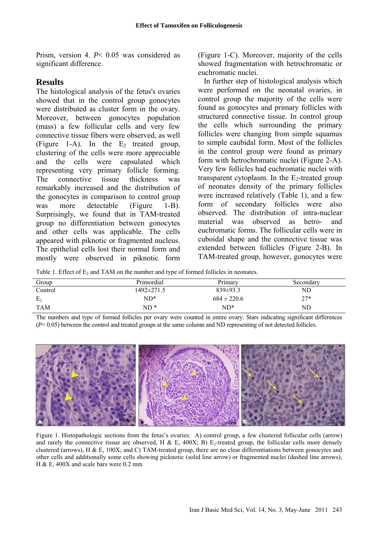Prism, version 4. *P*< 0.05 was considered as significant difference.

## **Results**

The histological analysis of the fetus's ovaries showed that in the control group gonocytes were distributed as cluster form in the ovary. Moreover, between gonocytes population (mass) a few follicular cells and very few connective tissue fibers were observed, as well (Figure 1-A). In the  $E_2$  treated group, clustering of the cells were more appreciable and the cells were capsulated which representing very primary follicle forming. The connective tissue thickness was remarkably increased and the distribution of the gonocytes in comparison to control group was more detectable (Figure 1-B). Surprisingly, we found that in TAM-treated group no differentiation between gonocytes and other cells was applicable. The cells appeared with piknotic or fragmented nucleus. The epithelial cells lost their normal form and mostly were observed in piknotic form (Figure 1-C). Moreover, majority of the cells showed fragmentation with hetrochromatic or euchromatic nuclei.

In further step of histological analysis which were performed on the neonatal ovaries, in control group the majority of the cells were found as gonocytes and primary follicles with structured connective tissue. In control group the cells which surrounding the primary follicles were changing from simple squamus to simple caubidal form. Most of the follicles in the control group were found as primary form with hetrochromatic nuclei (Figure 2-A). Very few follicles had euchromatic nuclei with transparent cytoplasm. In the  $E_2$ -treated group of neonates density of the primary follicles were increased relatively (Table 1), and a few form of secondary follicles were also observed. The distribution of intra-nuclear material was observed as hetro- and euchromatic forms. The follicular cells were in cuboidal shape and the connective tissue was extended between follicles (Figure 2-B). In TAM-treated group, however, gonocytes were

Table 1. Effect of  $E_2$  and TAM on the number and type of formed follicles in neonates.

| Group          | Primordial | Primary         | Secondarv |
|----------------|------------|-----------------|-----------|
| Control        | 1492±271.5 | $839 \pm 93.3$  | ND        |
| E <sub>2</sub> | $ND^*$     | $684 \pm 220.6$ | $27*$     |
| <b>TAM</b>     | $ND*$      | ND*             | ND        |

The numbers and type of formed follicles per ovary were counted in entire ovary. Stars indicating significant differences (*P*< 0.05) between the control and treated groups at the same column and ND representing of not detected follicles.



Figure 1. Histopathologic sections from the fetus's ovaries: A) control group, a few clustered follicular cells (arrow) and rarely the connective tissue are observed, H & E, 400X; B) E<sub>2</sub>-treated group, the follicular cells more densely clustered (arrows), H & E, 100X; and C) TAM-treated group, there are no clear differentiations between gonocytes and other cells and additionally some cells showing picknotic (solid line arrow) or fragmented nuclei (dashed line arrows), H & E, 400X and scale bars were 0.2 mm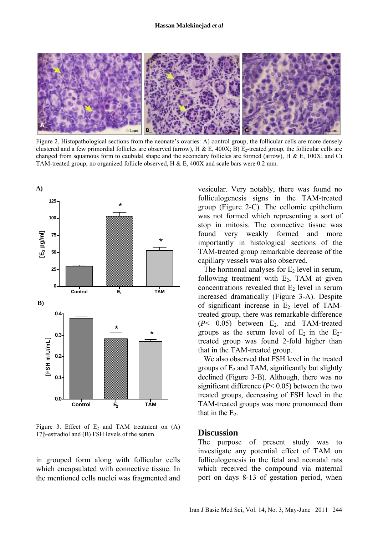

Figure 2. Histopathological sections from the neonate's ovaries: A) control group, the follicular cells are more densely clustered and a few primordial follicles are observed (arrow), H & E, 400X; B) E<sub>2</sub>-treated group, the follicular cells are changed from squamous form to caubidal shape and the secondary follicles are formed (arrow), H & E, 100X; and C) TAM-treated group, no organized follicle observed, H & E, 400X and scale bars were 0.2 mm.



Figure 3. Effect of  $E_2$  and TAM treatment on  $(A)$ 17β-estradiol and (B) FSH levels of the serum.

in grouped form along with follicular cells which encapsulated with connective tissue. In the mentioned cells nuclei was fragmented and

vesicular. Very notably, there was found no folliculogenesis signs in the TAM-treated group (Figure 2-C). The cellomic epithelium was not formed which representing a sort of stop in mitosis. The connective tissue was found very weakly formed and more importantly in histological sections of the TAM-treated group remarkable decrease of the capillary vessels was also observed.

The hormonal analyses for  $E_2$  level in serum, following treatment with  $E_2$ , TAM at given concentrations revealed that  $E_2$  level in serum increased dramatically (Figure 3-A). Despite of significant increase in  $E_2$  level of TAMtreated group, there was remarkable difference  $(P< 0.05)$  between  $E<sub>2</sub>$  and TAM-treated groups as the serum level of  $E_2$  in the  $E_2$ treated group was found 2-fold higher than that in the TAM-treated group.

We also observed that FSH level in the treated groups of  $E_2$  and TAM, significantly but slightly declined (Figure 3-B). Although, there was no significant difference (*P*< 0.05) between the two treated groups, decreasing of FSH level in the TAM-treated groups was more pronounced than that in the  $E_2$ .

#### **Discussion**

The purpose of present study was to investigate any potential effect of TAM on folliculogenesis in the fetal and neonatal rats which received the compound via maternal port on days 8-13 of gestation period, when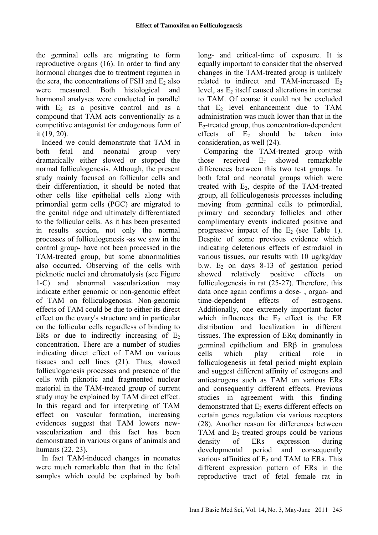the germinal cells are migrating to form reproductive organs (16). In order to find any hormonal changes due to treatment regimen in the sera, the concentrations of FSH and  $E<sub>2</sub>$  also were measured. Both histological and hormonal analyses were conducted in parallel with  $E_2$  as a positive control and as a compound that TAM acts conventionally as a competitive antagonist for endogenous form of it (19, 20).

Indeed we could demonstrate that TAM in both fetal and neonatal group very dramatically either slowed or stopped the normal folliculogenesis. Although, the present study mainly focused on follicular cells and their differentiation, it should be noted that other cells like epithelial cells along with primordial germ cells (PGC) are migrated to the genital ridge and ultimately differentiated to the follicular cells. As it has been presented in results section, not only the normal processes of folliculogenesis -as we saw in the control group- have not been processed in the TAM-treated group, but some abnormalities also occurred. Observing of the cells with picknotic nuclei and chromatolysis (see Figure 1-C) and abnormal vascularization may indicate either genomic or non-genomic effect of TAM on folliculogenosis. Non-genomic effects of TAM could be due to either its direct effect on the ovary's structure and in particular on the follicular cells regardless of binding to ERs or due to indirectly increasing of  $E_2$ concentration. There are a number of studies indicating direct effect of TAM on various tissues and cell lines (21). Thus, slowed folliculogenesis processes and presence of the cells with piknotic and fragmented nuclear material in the TAM-treated group of current study may be explained by TAM direct effect. In this regard and for interpreting of TAM effect on vascular formation, increasing evidences suggest that TAM lowers newvascularization and this fact has been demonstrated in various organs of animals and humans (22, 23).

In fact TAM-induced changes in neonates were much remarkable than that in the fetal samples which could be explained by both long- and critical-time of exposure. It is equally important to consider that the observed changes in the TAM-treated group is unlikely related to indirect and TAM-increased  $E<sub>2</sub>$ level, as  $E_2$  itself caused alterations in contrast to TAM. Of course it could not be excluded that  $E_2$  level enhancement due to TAM administration was much lower than that in the  $E<sub>2</sub>$ -treated group, thus concentration-dependent effects of  $E_2$  should be taken into consideration, as well (24).

Comparing the TAM-treated group with those received  $E<sub>2</sub>$  showed remarkable differences between this two test groups. In both fetal and neonatal groups which were treated with  $E_2$ , despite of the TAM-treated group, all folliculogenesis processes including moving from germinal cells to primordial, primary and secondary follicles and other complimentary events indicated positive and progressive impact of the  $E_2$  (see Table 1). Despite of some previous evidence which indicating deleterious effects of estrodaiol in various tissues, our results with 10 µg/kg/day b.w.  $E_2$  on days 8-13 of gestation period showed relatively positive effects on folliculogenesis in rat (25-27). Therefore, this data once again confirms a dose- , organ- and time-dependent effects of estrogens. Additionally, one extremely important factor which influences the  $E_2$  effect is the ER distribution and localization in different tissues. The expression of ERα dominantly in germinal epithelium and ERβ in granulosa cells which play critical role in folliculogenesis in fetal period might explain and suggest different affinity of estrogens and antiestrogens such as TAM on various ERs and consequently different effects. Previous studies in agreement with this finding demonstrated that  $E_2$  exerts different effects on certain genes regulation via various receptors (28). Another reason for differences between TAM and  $E_2$  treated groups could be various density of ERs expression during developmental period and consequently various affinities of  $E_2$  and TAM to ERs. This different expression pattern of ERs in the reproductive tract of fetal female rat in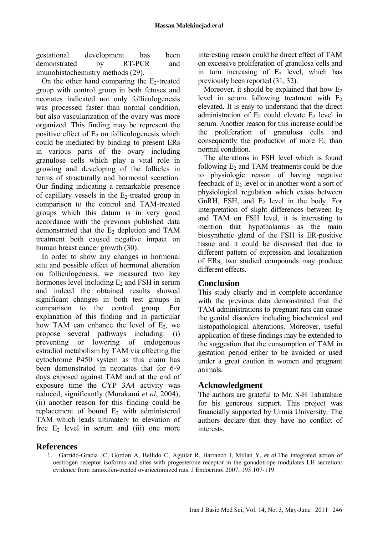gestational development has been demonstrated by RT-PCR and imunohistochemistry methods (29).

On the other hand comparing the  $E_2$ -treated group with control group in both fetuses and neonates indicated not only folliculogenesis was processed faster than normal condition, but also vascularization of the ovary was more organized. This finding may be represent the positive effect of  $E_2$  on folliculogenesis which could be mediated by binding to present ERs in various parts of the ovary including granulose cells which play a vital role in growing and developing of the follicles in terms of structurally and hormonal secretion. Our finding indicating a remarkable presence of capillary vessels in the  $E_2$ -treated group in comparison to the control and TAM-treated groups which this datum is in very good accordance with the previous published data demonstrated that the  $E_2$  depletion and TAM treatment both caused negative impact on human breast cancer growth (30).

In order to show any changes in hormonal situ and possible effect of hormonal alteration on folliculogenesis, we measured two key hormones level including  $E_2$  and FSH in serum and indeed the obtained results showed significant changes in both test groups in comparison to the control group. For explanation of this finding and in particular how TAM can enhance the level of  $E_2$ , we propose several pathways including: (i) preventing or lowering of endogenous estradiol metabolism by TAM via affecting the cytochrome P450 system as this claim has been demonstrated in neonates that for 6-9 days exposed against TAM and at the end of exposure time the CYP 3A4 activity was reduced, significantly (Murakami *et al*, 2004), (ii) another reason for this finding could be replacement of bound  $E_2$  with administered TAM which leads ultimately to elevation of free  $E_2$  level in serum and (iii) one more interesting reason could be direct effect of TAM on excessive proliferation of granulosa cells and in turn increasing of  $E_2$  level, which has previously been reported (31, 32).

Moreover, it should be explained that how  $E<sub>2</sub>$ level in serum following treatment with  $E<sub>2</sub>$ elevated. It is easy to understand that the direct administration of  $E_2$  could elevate  $E_2$  level in serum. Another reason for this increase could be the proliferation of granulosa cells and consequently the production of more  $E_2$  than normal condition.

The alterations in FSH level which is found following  $E_2$  and TAM treatments could be due to physiologic reason of having negative feedback of  $E_2$  level or in another word a sort of physiological regulation which exists between GnRH, FSH, and  $E_2$  level in the body. For interpretation of slight differences between  $E_2$ and TAM on FSH level, it is interesting to mention that hypothalamus as the main biosynthetic gland of the FSH is ER-positive tissue and it could be discussed that due to different pattern of expression and localization of ERs, two studied compounds may produce different effects.

## **Conclusion**

This study clearly and in complete accordance with the previous data demonstrated that the TAM administrations to pregnant rats can cause the genital disorders including biochemical and histopathological alterations. Moreover, useful application of these findings may be extended to the suggestion that the consumption of TAM in gestation period either to be avoided or used under a great caution in women and pregnant animals.

## **Acknowledgment**

The authors are grateful to Mr. S-H Tabatabaie for his generous support. This project was financially supported by Urmia University. The authors declare that they have no conflict of interests.

#### **References**

1. Garrido-Gracia JC, Gordon A, Bellido C, Aguilar R, Barranco I, Millan Y, *et al.*The integrated action of oestrogen receptor isoforms and sites with progesterone receptor in the gonadotrope modulates LH secretion: evidence from tamoxifen-treated ovariectomized rats. J Endocrinol 2007; 193:107-119.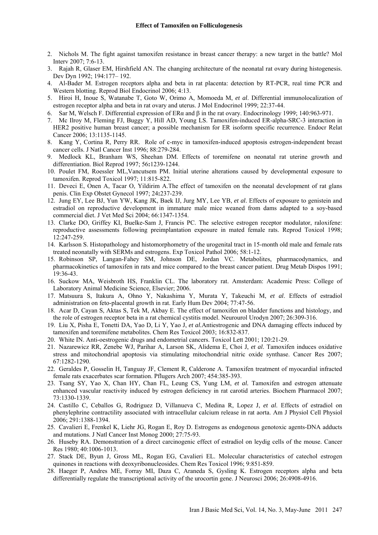- 2. Nichols M. The fight against tamoxifen resistance in breast cancer therapy: a new target in the battle? Mol Interv 2007; 7:6-13.
- 3. Rajah R, Glaser EM, Hirshfield AN. The changing architecture of the neonatal rat ovary during histogenesis. Dev Dyn 1992; 194:177– 192.
- 4. Al-Bader M. Estrogen receptors alpha and beta in rat placenta: detection by RT-PCR, real time PCR and Western blotting. Reprod Biol Endocrinol 2006; 4:13.
- 5. Hiroi H, Inoue S, Watanabe T, Goto W, Orimo A, Momoeda M, *et al*. Differential immunolocalization of estrogen receptor alpha and beta in rat ovary and uterus. J Mol Endocrinol 1999; 22:37-44.
- 6. Sar M, Welsch F. Differential expression of ERα and β in the rat ovary. Endocrinology 1999; 140:963-971.
- 7. Mc Ilroy M, Fleming FJ, Buggy Y, Hill AD, Young LS. Tamoxifen-induced ER-alpha-SRC-3 interaction in HER2 positive human breast cancer; a possible mechanism for ER isoform specific recurrence. Endocr Relat Cancer 2006; 13:1135-1145.
- 8. Kang Y, Cortina R, Perry RR. Role of c-myc in tamoxifen-induced apoptosis estrogen-independent breast cancer cells. J Natl Cancer Inst 1996; 88:279-284.
- 9. Medlock KL, Branham WS, Sheehan DM. Effects of toremifene on neonatal rat uterine growth and differentiation. Biol Reprod 1997; 56**:**1239-1244.
- 10. Poulet FM, Roessler ML,Vancutsem PM. Initial uterine alterations caused by developmental exposure to tamoxifen. Reprod Toxicol 1997; 11:815-822.
- 11. Deveci E, Onen A, Tacar O, Yildirim A.The effect of tamoxifen on the neonatal development of rat glans penis. Clin Exp Obstet Gynecol 1997; 24**:**237-239.
- 12. Jung EY, Lee BJ, Yun YW, Kang JK, Baek IJ, Jurg MY, Lee YB, *et al*. Effects of exposure to genistein and estradiol on reproductive development in immature male mice weaned from dams adapted to a soy-based commercial diet. J Vet Med Sci 2004; 66:1347-1354.
- 13. Clarke DO, Griffey KI, Buelke-Sam J, Francis PC. The selective estrogen receptor modulator, raloxifene: reproductive assessments following preimplantation exposure in mated female rats. Reprod Toxicol 1998; 12:247-259.
- 14. Karlsson S. Histopathology and histomorphometry of the urogenital tract in 15-month old male and female rats treated neonatally with SERMs and estrogens. Exp Toxicol Pathol 2006; 58:1-12.
- 15. Robinson SP, Langan-Fahey SM, Johnson DE, Jordan VC. Metabolites, pharmacodynamics, and pharmacokinetics of tamoxifen in rats and mice compared to the breast cancer patient. Drug Metab Dispos 1991; 19:36-43.
- 16. Suckow MA, Weisbroth HS, Franklin CL. The laboratory rat. Amsterdam: Academic Press: College of Laboratory Animal Medicine Science, Elsevier; 2006.
- 17. Matsuura S, Itakura A, Ohno Y, Nakashima Y, Murata Y, Takeuchi M, *et al*. Effects of estradiol administration on feto-placental growth in rat. Early Hum Dev 2004; 77:47-56.
- 18. Acar D, Cayan S, Aktas S, Tek M, Akbay E. The effect of tamoxifen on bladder functions and histology, and the role of estrogen receptor beta in a rat chemical cystitis model. Neurourol Urodyn 2007; 26:309-316.
- 19. Liu X, Pisha E, Tonetti DA, Yao D, Li Y, Yao J, *et al.*Antiestrogenic and DNA damaging effects induced by tamoxifen and toremifene metabolites. Chem Res Toxicol 2003; 16:832-837.
- 20. White IN. Anti-oestrogenic drugs and endometrial cancers. Toxicol Lett 2001; 120:21-29.
- 21. Nazarewicz RR, Zenebe WJ, Parihar A, Larson SK, Alidema E, Choi J, *et al*. Tamoxifen induces oxidative stress and mitochondrial apoptosis via stimulating mitochondrial nitric oxide synthase. Cancer Res 2007; 67:1282-1290.
- 22. Geraldes P, Gosselin H, Tanguay JF, Clement R, Calderone A. Tamoxifen treatment of myocardial infracted female rats exacerbates scar formation. Pflugers Arch 2007; 454:385-393.
- 23. Tsang SY, Yao X, Chan HY, Chan FL, Leung CS, Yung LM, *et al.* Tamoxifen and estrogen attenuate enhanced vascular reactivity induced by estrogen deficiency in rat carotid arteries. Biochem Pharmacol 2007; 73:1330-1339.
- 24. Castillo C, Ceballos G, Rodriguez D, Villanueva C, Medina R, Lopez J, *et al*. Effects of estradiol on phenylephrine contractility associated with intracellular calcium release in rat aorta. Am J Physiol Cell Physiol 2006; 291:1388-1394.
- 25. Cavalieri E, Frenkel K, Liehr JG, Rogan E, Roy D. Estrogens as endogenous genotoxic agents-DNA adducts and mutations. J Natl Cancer Inst Monog 2000; 27:75-93.
- 26. Huseby RA. Demonstration of a direct carcinogenic effect of estradiol on leydig cells of the mouse. Cancer Res 1980; 40:1006-1013.
- 27. Stack DE, Byun J, Gross ML, Rogan EG, Cavalieri EL. Molecular characteristics of catechol estrogen quinones in reactions with deoxyribonucleosides. Chem Res Toxicol 1996; 9:851-859.
- 28. Haeger P, Andres ME, Forray MI, Daza C, Araneda S, Gysling K. Estrogen receptors alpha and beta differentially regulate the transcriptional activity of the urocortin gene. J Neurosci 2006; 26:4908-4916.